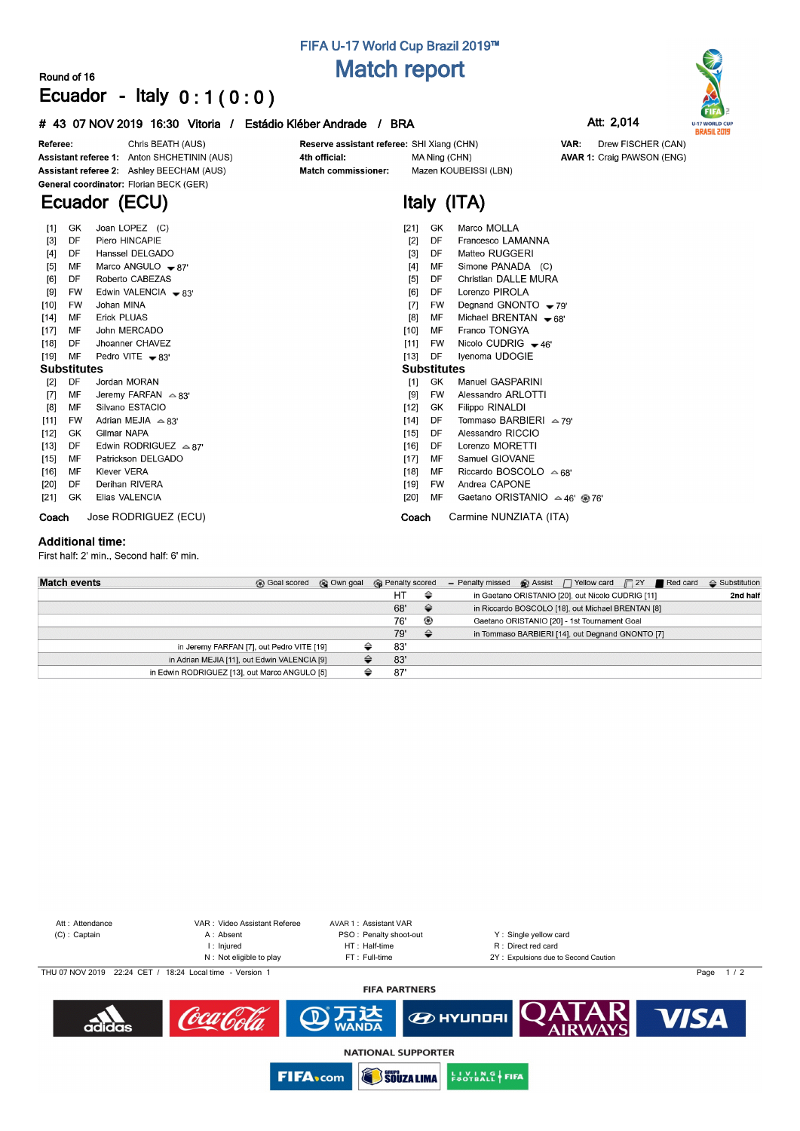# **FIFA U-17 World Cup Brazil 2019™ Match report**

Reserve assistant referee: SHI Xiang (CHN)

**Italy (ITA)**

MA Ning (CHN)

Mazen KOUBEISSI (LBN)

### **Round of 16 Ecuador - Italy 0 : 1 ( 0 : 0 )**

### **# 43 07 NOV 2019 16:30 Vitoria / Estádio Kléber Andrade / BRA Att: 2,014**



**AVAR 1: Craig PAWSON (ENG)** 

Drew FISCHER (CAN)

VAR:



Chris BEATH (AUS) Referee: Assistant referee 1: Anton SHCHETININ (AUS) Assistant referee 2: Ashley BEECHAM (AUS) General coordinator: Florian BECK (GER)

# **Ecuador (ECU)**

| $[1]$              | Joan LOPEZ (C)<br>GK |                                 | Marco MOLLA<br>[21]<br>GK.                            |
|--------------------|----------------------|---------------------------------|-------------------------------------------------------|
| $[3]$              | DF                   | Piero HINCAPIE                  | Francesco LAMANNA<br>DF<br>$[2]$                      |
| $[4]$              | DF                   | Hanssel DELGADO                 | Matteo RUGGERI<br>$[3]$<br>DF                         |
| [5]                | MF                   | Marco ANGULO $-87'$             | Simone PANADA (C)<br>$[4]$<br>MF                      |
| [6]                | DF                   | Roberto CABEZAS                 | Christian DALLE MURA<br>[5]<br>DF                     |
| [9]                | <b>FW</b>            | Edwin VALENCIA $\bullet$ 83'    | Lorenzo PIROLA<br>[6]<br>DF                           |
| [10]               | <b>FW</b>            | Johan MINA                      | Degnand GNONTO $-79'$<br>[7]<br>FW.                   |
| $[14]$             | MF                   | <b>Erick PLUAS</b>              | [8]<br>Michael BRENTAN $\bullet$ 68'<br>MF            |
| $[17]$             | MF                   | John MERCADO                    | Franco TONGYA<br>$[10]$<br>MF                         |
| $[18]$             | DF.                  | Jhoanner CHAVEZ                 | Nicolo CUDRIG $-46'$<br>[11]<br>FW.                   |
| $[19]$             | MF                   | Pedro VITE $-83'$               | $[13]$<br>DF<br>Iyenoma UDOGIE                        |
| <b>Substitutes</b> |                      |                                 | <b>Substitutes</b>                                    |
| $[2]$              | DF                   | Jordan MORAN                    | GK<br>[1]<br>Manuel GASPARINI                         |
| $[7]$              | МF                   | Jeremy FARFAN $\approx 83'$     | Alessandro ARLOTTI<br>[9]<br><b>FW</b>                |
| [8]                | МF                   | Silvano ESTACIO                 | $[12]$<br>Filippo RINALDI<br>GK                       |
| $[11]$             | FW                   | Adrian MEJIA $\approx$ 83'      | Tommaso BARBIERI $\approx$ 79'<br>[14]<br>DF          |
| $[12]$             | GK                   | Gilmar NAPA                     | Alessandro RICCIO<br>[15]<br>DF                       |
| $[13]$             | DF                   | Edwin RODRIGUEZ $\triangle$ 87' | Lorenzo MORETTI<br>$[16]$<br>DF                       |
| $[15]$             | МF                   | Patrickson DELGADO              | Samuel GIOVANE<br>$[17]$<br>МF                        |
| [16]               | MF                   | <b>Klever VERA</b>              | Riccardo BOSCOLO $\triangle$ 68'<br>$[18]$<br>MF      |
| [20]               | DF                   | Derihan RIVERA                  | Andrea CAPONE<br>[19]<br>FW.                          |
| [21]               | GK                   | Elias VALENCIA                  | $[20]$<br>MF<br>Gaetano ORISTANIO $\approx$ 46' @ 76' |
| Coach              |                      | Jose RODRIGUEZ (ECU)            | Carmine NUNZIATA (ITA)<br>Coach                       |
|                    |                      |                                 |                                                       |

4th official:

Match commissioner:

#### **Additional time:**

First half: 2' min., Second half: 6' min.

| <b>Match events</b> | © Own goal<br><b>B</b> Goal scored            | <b>R</b> Penalty scored |               | - Penalty missed $\otimes$ Assist $\bigcap$ Yellow card $\bigcap$ 2Y Red card |                                                   |  | $\triangle$ Substitution |
|---------------------|-----------------------------------------------|-------------------------|---------------|-------------------------------------------------------------------------------|---------------------------------------------------|--|--------------------------|
|                     |                                               | HT                      | ⇔             |                                                                               | in Gaetano ORISTANIO [20], out Nicolo CUDRIG [11] |  | 2nd half                 |
|                     |                                               | 68'                     | $\Rightarrow$ |                                                                               | in Riccardo BOSCOLO [18], out Michael BRENTAN [8] |  |                          |
|                     |                                               | 76'                     | ⊛             |                                                                               | Gaetano ORISTANIO [20] - 1st Tournament Goal      |  |                          |
|                     |                                               | 79'                     | $\triangle$   |                                                                               | in Tommaso BARBIERI [14], out Degnand GNONTO [7]  |  |                          |
|                     | in Jeremy FARFAN [7], out Pedro VITE [19]     | 83'                     |               |                                                                               |                                                   |  |                          |
|                     | in Adrian MEJIA [11], out Edwin VALENCIA [9]  | 83'                     |               |                                                                               |                                                   |  |                          |
|                     | in Edwin RODRIGUEZ [13], out Marco ANGULO [5] | 87                      |               |                                                                               |                                                   |  |                          |